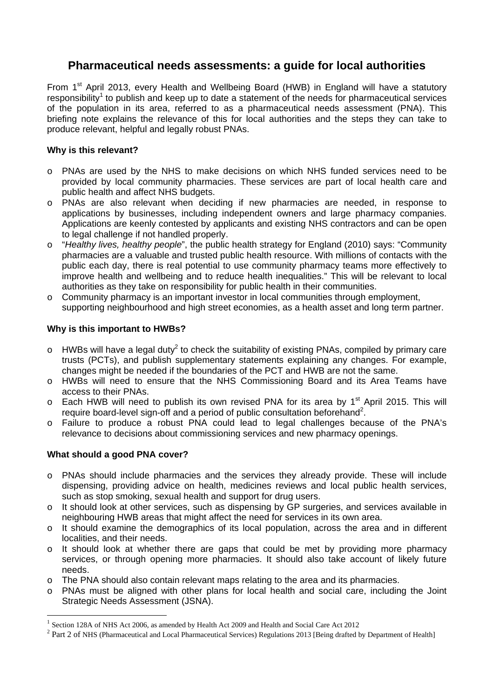# **Pharmaceutical needs assessments: a guide for local authorities**

From 1<sup>st</sup> April 2013, every Health and Wellbeing Board (HWB) in England will have a statutory responsibility<sup>1</sup> to publish and keep up to date a statement of the needs for pharmaceutical services of the population in its area, referred to as a pharmaceutical needs assessment (PNA). This briefing note explains the relevance of this for local authorities and the steps they can take to produce relevant, helpful and legally robust PNAs.

### **Why is this relevant?**

- o PNAs are used by the NHS to make decisions on which NHS funded services need to be provided by local community pharmacies. These services are part of local health care and public health and affect NHS budgets.
- o PNAs are also relevant when deciding if new pharmacies are needed, in response to applications by businesses, including independent owners and large pharmacy companies. Applications are keenly contested by applicants and existing NHS contractors and can be open to legal challenge if not handled properly.
- o "*Healthy lives, healthy people*", the public health strategy for England (2010) says: "Community pharmacies are a valuable and trusted public health resource. With millions of contacts with the public each day, there is real potential to use community pharmacy teams more effectively to improve health and wellbeing and to reduce health inequalities." This will be relevant to local authorities as they take on responsibility for public health in their communities.
- o Community pharmacy is an important investor in local communities through employment, supporting neighbourhood and high street economies, as a health asset and long term partner.

#### **Why is this important to HWBs?**

- $\circ$  HWBs will have a legal duty<sup>2</sup> to check the suitability of existing PNAs, compiled by primary care trusts (PCTs), and publish supplementary statements explaining any changes. For example, changes might be needed if the boundaries of the PCT and HWB are not the same.
- o HWBs will need to ensure that the NHS Commissioning Board and its Area Teams have access to their PNAs.
- $\circ$  Each HWB will need to publish its own revised PNA for its area by 1<sup>st</sup> April 2015. This will require board-level sign-off and a period of public consultation beforehand<sup>2</sup>.
- o Failure to produce a robust PNA could lead to legal challenges because of the PNA's relevance to decisions about commissioning services and new pharmacy openings.

# **What should a good PNA cover?**

 $\overline{a}$ 

- o PNAs should include pharmacies and the services they already provide. These will include dispensing, providing advice on health, medicines reviews and local public health services, such as stop smoking, sexual health and support for drug users.
- o It should look at other services, such as dispensing by GP surgeries, and services available in neighbouring HWB areas that might affect the need for services in its own area.
- $\circ$  It should examine the demographics of its local population, across the area and in different localities, and their needs.
- o It should look at whether there are gaps that could be met by providing more pharmacy services, or through opening more pharmacies. It should also take account of likely future needs.
- o The PNA should also contain relevant maps relating to the area and its pharmacies.
- o PNAs must be aligned with other plans for local health and social care, including the Joint Strategic Needs Assessment (JSNA).

<sup>&</sup>lt;sup>1</sup> Section 128A of NHS Act 2006, as amended by Health Act 2009 and Health and Social Care Act 2012

<sup>&</sup>lt;sup>2</sup> Part 2 of NHS (Pharmaceutical and Local Pharmaceutical Services) Regulations 2013 [Being drafted by Department of Health]